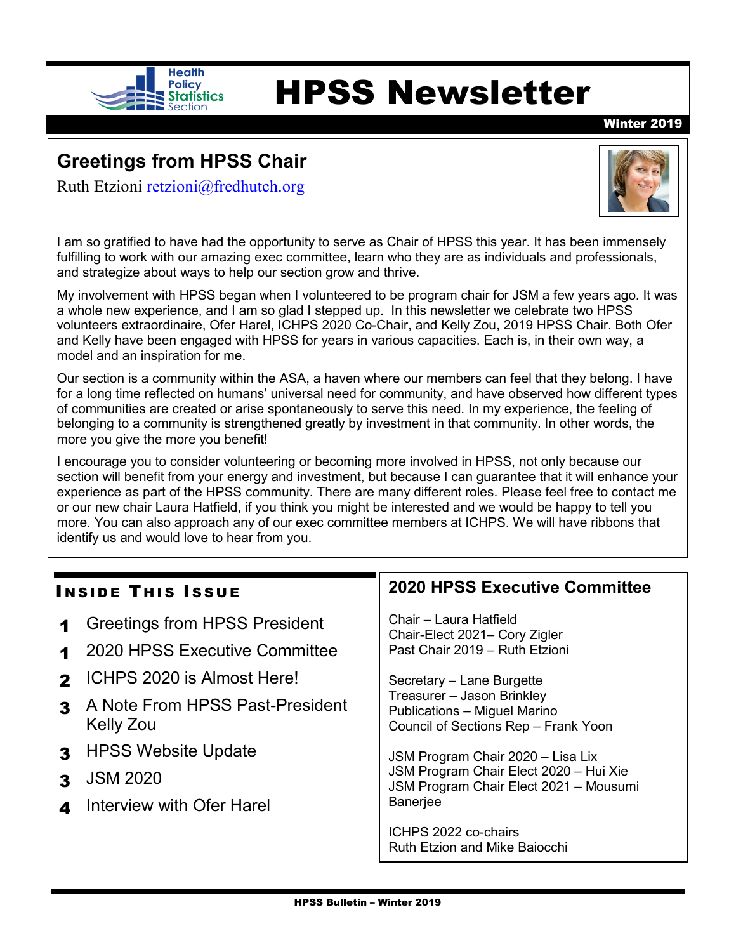

# Health<br>Statistics **HPSS Newsletter**

Winter 2019

# **Greetings from HPSS Chair**

Ruth Etzioni [retzioni@fredhutch.org](mailto:retzioni@fredhutch.org)



I am so gratified to have had the opportunity to serve as Chair of HPSS this year. It has been immensely fulfilling to work with our amazing exec committee, learn who they are as individuals and professionals, and strategize about ways to help our section grow and thrive.

My involvement with HPSS began when I volunteered to be program chair for JSM a few years ago. It was a whole new experience, and I am so glad I stepped up. In this newsletter we celebrate two HPSS volunteers extraordinaire, Ofer Harel, ICHPS 2020 Co-Chair, and Kelly Zou, 2019 HPSS Chair. Both Ofer and Kelly have been engaged with HPSS for years in various capacities. Each is, in their own way, a model and an inspiration for me.

Our section is a community within the ASA, a haven where our members can feel that they belong. I have for a long time reflected on humans' universal need for community, and have observed how different types of communities are created or arise spontaneously to serve this need. In my experience, the feeling of belonging to a community is strengthened greatly by investment in that community. In other words, the more you give the more you benefit!

I encourage you to consider volunteering or becoming more involved in HPSS, not only because our section will benefit from your energy and investment, but because I can guarantee that it will enhance your experience as part of the HPSS community. There are many different roles. Please feel free to contact me or our new chair Laura Hatfield, if you think you might be interested and we would be happy to tell you more. You can also approach any of our exec committee members at ICHPS. We will have ribbons that identify us and would love to hear from you.

| <b>INSIDE THIS ISSUE</b> |                                                                            | <b>2020 HPSS Executive Committee</b>                                                                                                     |
|--------------------------|----------------------------------------------------------------------------|------------------------------------------------------------------------------------------------------------------------------------------|
| 1                        | <b>Greetings from HPSS President</b><br>2020 HPSS Executive Committee      | Chair - Laura Hatfield<br>Chair-Elect 2021– Cory Zigler<br>Past Chair 2019 - Ruth Etzioni                                                |
| $\mathbf{z}$<br>3        | ICHPS 2020 is Almost Here!<br>A Note From HPSS Past-President<br>Kelly Zou | Secretary - Lane Burgette<br>Treasurer - Jason Brinkley<br>Publications - Miguel Marino<br>Council of Sections Rep - Frank Yoon          |
| $\mathbf{3}$             | <b>HPSS Website Update</b><br><b>JSM 2020</b><br>Interview with Ofer Harel | JSM Program Chair 2020 - Lisa Lix<br>JSM Program Chair Elect 2020 - Hui Xie<br>JSM Program Chair Elect 2021 - Mousumi<br><b>Banerjee</b> |
|                          |                                                                            | ICHPS 2022 co-chairs<br><b>Ruth Etzion and Mike Baiocchi</b>                                                                             |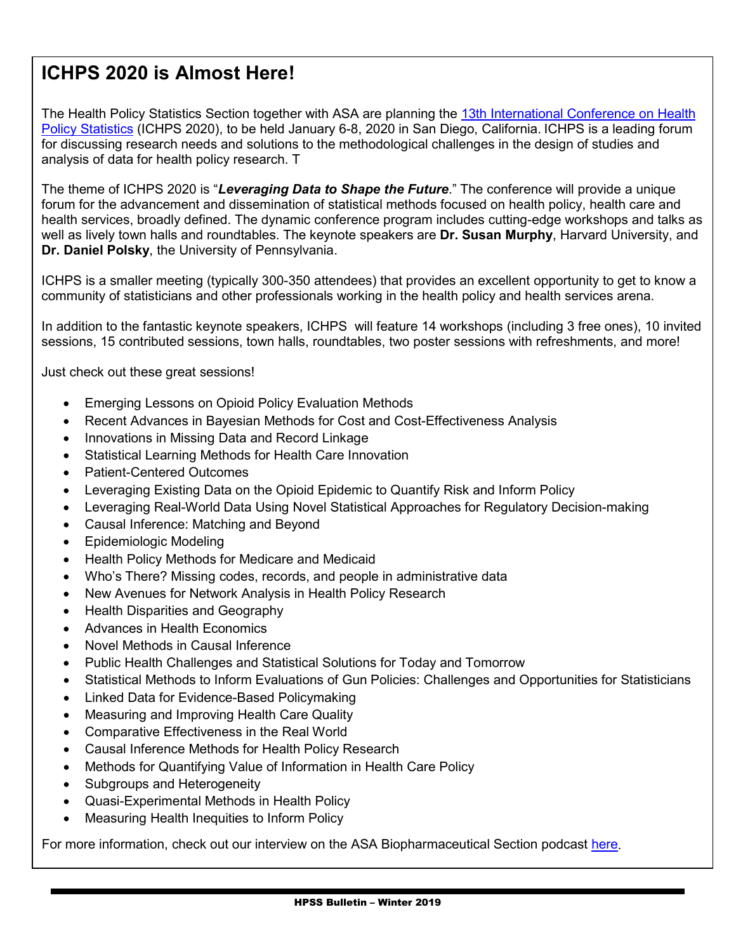# **ICHPS 2020 is Almost Here!**

The Health Policy Statistics Section together with ASA are planning the 13th International Conference on Health [Policy Statistics](https://ww2.amstat.org/meetings/ichps/2020/index.cfm) (ICHPS 2020), to be held January 6-8, 2020 in San Diego, California. ICHPS is a leading forum for discussing research needs and solutions to the methodological challenges in the design of studies and analysis of data for health policy research. T

The theme of ICHPS 2020 is "*Leveraging Data to Shape the Future*." The conference will provide a unique forum for the advancement and dissemination of statistical methods focused on health policy, health care and health services, broadly defined. The dynamic conference program includes cutting-edge workshops and talks as well as lively town halls and roundtables. The keynote speakers are **Dr. Susan Murphy**, Harvard University, and **Dr. Daniel Polsky**, the University of Pennsylvania.

ICHPS is a smaller meeting (typically 300-350 attendees) that provides an excellent opportunity to get to know a community of statisticians and other professionals working in the health policy and health services arena.

In addition to the fantastic keynote speakers, ICHPS will feature 14 workshops (including 3 free ones), 10 invited sessions, 15 contributed sessions, town halls, roundtables, two poster sessions with refreshments, and more!

Just check out these great sessions!

- Emerging Lessons on Opioid Policy Evaluation Methods
- Recent Advances in Bayesian Methods for Cost and Cost-Effectiveness Analysis
- Innovations in Missing Data and Record Linkage
- Statistical Learning Methods for Health Care Innovation
- Patient-Centered Outcomes
- Leveraging Existing Data on the Opioid Epidemic to Quantify Risk and Inform Policy
- Leveraging Real-World Data Using Novel Statistical Approaches for Regulatory Decision-making
- Causal Inference: Matching and Beyond
- Epidemiologic Modeling
- Health Policy Methods for Medicare and Medicaid
- Who's There? Missing codes, records, and people in administrative data
- New Avenues for Network Analysis in Health Policy Research
- Health Disparities and Geography
- Advances in Health Economics
- Novel Methods in Causal Inference
- Public Health Challenges and Statistical Solutions for Today and Tomorrow
- Statistical Methods to Inform Evaluations of Gun Policies: Challenges and Opportunities for Statisticians
- Linked Data for Evidence-Based Policymaking
- Measuring and Improving Health Care Quality
- Comparative Effectiveness in the Real World
- Causal Inference Methods for Health Policy Research
- Methods for Quantifying Value of Information in Health Care Policy
- Subgroups and Heterogeneity
- Quasi-Experimental Methods in Health Policy
- Measuring Health Inequities to Inform Policy

For more information, check out our interview on the ASA Biopharmaceutical Section podcast [here.](https://community.amstat.org/biop/media-contents/podcasts)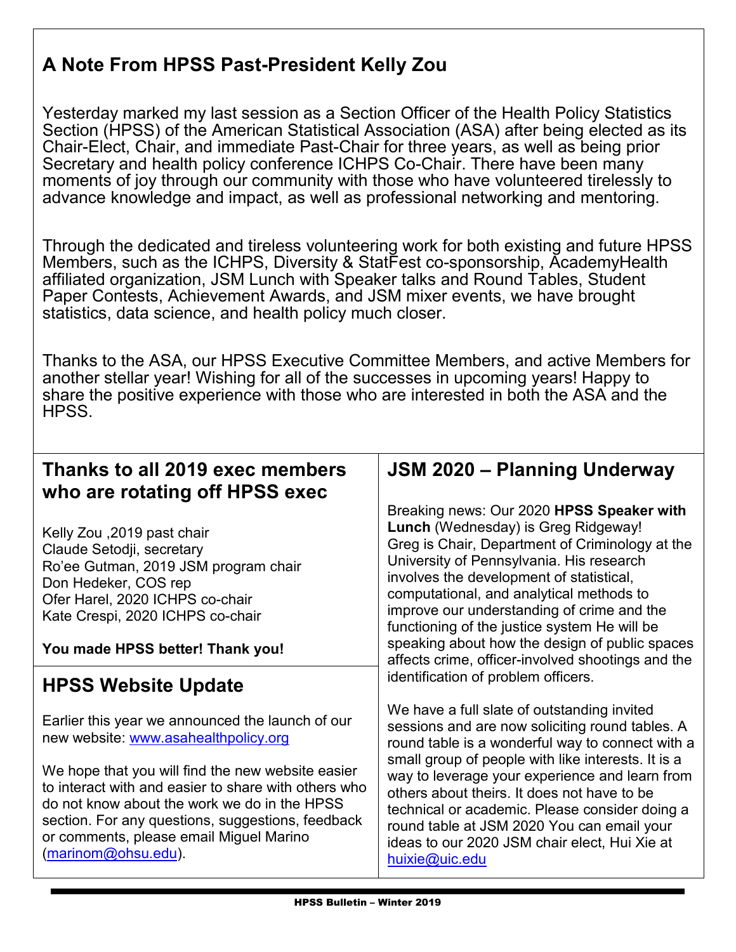# **A Note From HPSS Past-President Kelly Zou**

Yesterday marked my last session as a Section Officer of the Health Policy Statistics Section (HPSS) of the American Statistical Association (ASA) after being elected as its Chair-Elect, Chair, and immediate Past-Chair for three years, as well as being prior Secretary and health policy conference ICHPS Co-Chair. There have been many moments of joy through our community with those who have volunteered tirelessly to advance knowledge and impact, as well as professional networking and mentoring.

Through the dedicated and tireless volunteering work for both existing and future HPSS Members, such as the ICHPS, Diversity & StatFest co-sponsorship, AcademyHealth affiliated organization, JSM Lunch with Speaker talks and Round Tables, Student Paper Contests, Achievement Awards, and JSM mixer events, we have brought statistics, data science, and health policy much closer.

Thanks to the ASA, our HPSS Executive Committee Members, and active Members for another stellar year! Wishing for all of the successes in upcoming years! Happy to share the positive experience with those who are interested in both the ASA and the HPSS.

# **Thanks to all 2019 exec members who are rotating off HPSS exec**

Kelly Zou ,2019 past chair Claude Setodji, secretary Ro'ee Gutman, 2019 JSM program chair Don Hedeker, COS rep Ofer Harel, 2020 ICHPS co-chair Kate Crespi, 2020 ICHPS co-chair

## **You made HPSS better! Thank you!**

# **HPSS Website Update**

Earlier this year we announced the launch of our new website: [www.asahealthpolicy.org](http://www.asahealthpolicy.org/)

We hope that you will find the new website easier to interact with and easier to share with others who do not know about the work we do in the HPSS section. For any questions, suggestions, feedback or comments, please email Miguel Marino [\(marinom@ohsu.edu\)](mailto:marinom@ohsu.edu).

# **JSM 2020 – Planning Underway**

Breaking news: Our 2020 **HPSS Speaker with Lunch** (Wednesday) is Greg Ridgeway! Greg is Chair, Department of Criminology at the University of Pennsylvania. His research involves the development of statistical, computational, and analytical methods to improve our understanding of crime and the functioning of the justice system He will be speaking about how the design of public spaces affects crime, officer-involved shootings and the identification of problem officers.

We have a full slate of outstanding invited sessions and are now soliciting round tables. A round table is a wonderful way to connect with a small group of people with like interests. It is a way to leverage your experience and learn from others about theirs. It does not have to be technical or academic. Please consider doing a round table at JSM 2020 You can email your ideas to our 2020 JSM chair elect, Hui Xie at [huixie@uic.edu](mailto:huixie@uic.edu)